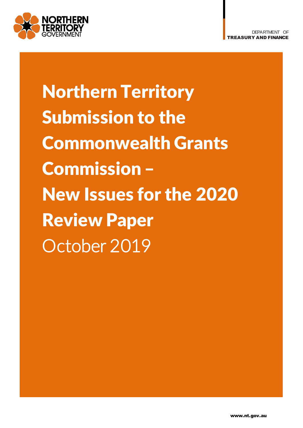

Northern Territory Submission to the Commonwealth Grants Commission – New Issues for the 2020 Review Paper October 2019